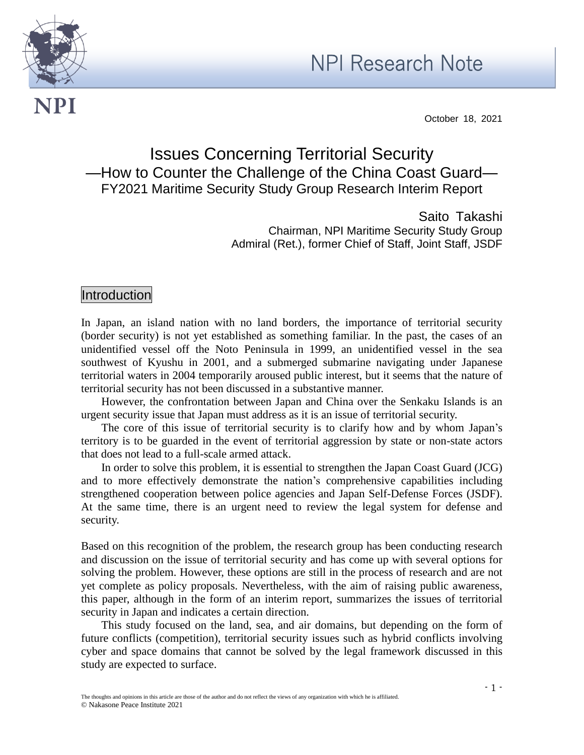



NPI

October 18, 2021

# Issues Concerning Territorial Security —How to Counter the Challenge of the China Coast Guard— FY2021 Maritime Security Study Group Research Interim Report

Saito Takashi Chairman, NPI Maritime Security Study Group Admiral (Ret.), former Chief of Staff, Joint Staff, JSDF

# Introduction

In Japan, an island nation with no land borders, the importance of territorial security (border security) is not yet established as something familiar. In the past, the cases of an unidentified vessel off the Noto Peninsula in 1999, an unidentified vessel in the sea southwest of Kyushu in 2001, and a submerged submarine navigating under Japanese territorial waters in 2004 temporarily aroused public interest, but it seems that the nature of territorial security has not been discussed in a substantive manner.

However, the confrontation between Japan and China over the Senkaku Islands is an urgent security issue that Japan must address as it is an issue of territorial security.

The core of this issue of territorial security is to clarify how and by whom Japan's territory is to be guarded in the event of territorial aggression by state or non-state actors that does not lead to a full-scale armed attack.

In order to solve this problem, it is essential to strengthen the Japan Coast Guard (JCG) and to more effectively demonstrate the nation's comprehensive capabilities including strengthened cooperation between police agencies and Japan Self-Defense Forces (JSDF). At the same time, there is an urgent need to review the legal system for defense and security.

Based on this recognition of the problem, the research group has been conducting research and discussion on the issue of territorial security and has come up with several options for solving the problem. However, these options are still in the process of research and are not yet complete as policy proposals. Nevertheless, with the aim of raising public awareness, this paper, although in the form of an interim report, summarizes the issues of territorial security in Japan and indicates a certain direction.

This study focused on the land, sea, and air domains, but depending on the form of future conflicts (competition), territorial security issues such as hybrid conflicts involving cyber and space domains that cannot be solved by the legal framework discussed in this study are expected to surface.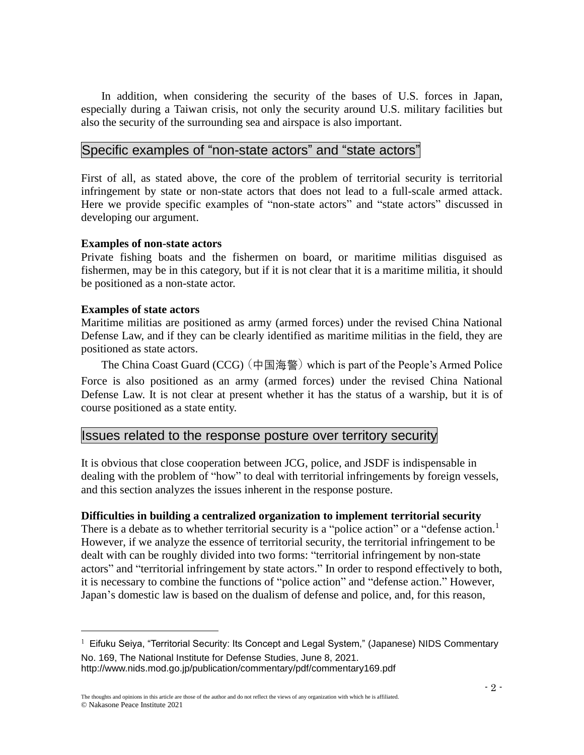In addition, when considering the security of the bases of U.S. forces in Japan, especially during a Taiwan crisis, not only the security around U.S. military facilities but also the security of the surrounding sea and airspace is also important.

# Specific examples of "non-state actors" and "state actors"

First of all, as stated above, the core of the problem of territorial security is territorial infringement by state or non-state actors that does not lead to a full-scale armed attack. Here we provide specific examples of "non-state actors" and "state actors" discussed in developing our argument.

### **Examples of non-state actors**

Private fishing boats and the fishermen on board, or maritime militias disguised as fishermen, may be in this category, but if it is not clear that it is a maritime militia, it should be positioned as a non-state actor.

### **Examples of state actors**

Maritime militias are positioned as army (armed forces) under the revised China National Defense Law, and if they can be clearly identified as maritime militias in the field, they are positioned as state actors.

The China Coast Guard (CCG)(中国海警)which is part of the People's Armed Police Force is also positioned as an army (armed forces) under the revised China National Defense Law. It is not clear at present whether it has the status of a warship, but it is of course positioned as a state entity.

# Issues related to the response posture over territory security

It is obvious that close cooperation between JCG, police, and JSDF is indispensable in dealing with the problem of "how" to deal with territorial infringements by foreign vessels, and this section analyzes the issues inherent in the response posture.

### **Difficulties in building a centralized organization to implement territorial security**

There is a debate as to whether territorial security is a "police action" or a "defense action.<sup>1</sup> However, if we analyze the essence of territorial security, the territorial infringement to be dealt with can be roughly divided into two forms: "territorial infringement by non-state actors" and "territorial infringement by state actors." In order to respond effectively to both, it is necessary to combine the functions of "police action" and "defense action." However, Japan's domestic law is based on the dualism of defense and police, and, for this reason,

 $<sup>1</sup>$  Eifuku Seiya, "Territorial Security: Its Concept and Legal System," (Japanese) NIDS Commentary</sup> No. 169, The National Institute for Defense Studies, June 8, 2021. http://www.nids.mod.go.jp/publication/commentary/pdf/commentary169.pdf

The thoughts and opinions in this article are those of the author and do not reflect the views of any organization with which he is affiliated. © Nakasone Peace Institute 2021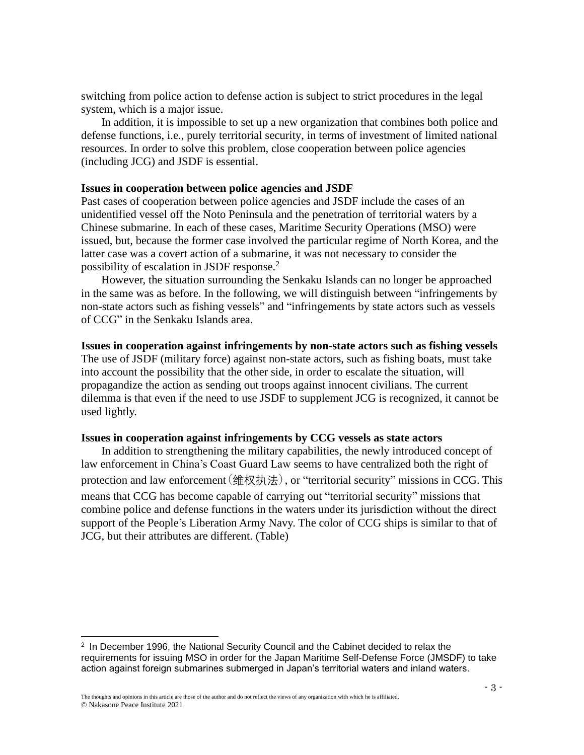switching from police action to defense action is subject to strict procedures in the legal system, which is a major issue.

In addition, it is impossible to set up a new organization that combines both police and defense functions, i.e., purely territorial security, in terms of investment of limited national resources. In order to solve this problem, close cooperation between police agencies (including JCG) and JSDF is essential.

### **Issues in cooperation between police agencies and JSDF**

Past cases of cooperation between police agencies and JSDF include the cases of an unidentified vessel off the Noto Peninsula and the penetration of territorial waters by a Chinese submarine. In each of these cases, Maritime Security Operations (MSO) were issued, but, because the former case involved the particular regime of North Korea, and the latter case was a covert action of a submarine, it was not necessary to consider the possibility of escalation in JSDF response.<sup>2</sup>

However, the situation surrounding the Senkaku Islands can no longer be approached in the same was as before. In the following, we will distinguish between "infringements by non-state actors such as fishing vessels" and "infringements by state actors such as vessels of CCG" in the Senkaku Islands area.

#### **Issues in cooperation against infringements by non-state actors such as fishing vessels**

The use of JSDF (military force) against non-state actors, such as fishing boats, must take into account the possibility that the other side, in order to escalate the situation, will propagandize the action as sending out troops against innocent civilians. The current dilemma is that even if the need to use JSDF to supplement JCG is recognized, it cannot be used lightly.

### **Issues in cooperation against infringements by CCG vessels as state actors**

In addition to strengthening the military capabilities, the newly introduced concept of law enforcement in China's Coast Guard Law seems to have centralized both the right of protection and law enforcement  $(\frac{4}{2}$ 权执法), or "territorial security" missions in CCG. This means that CCG has become capable of carrying out "territorial security" missions that combine police and defense functions in the waters under its jurisdiction without the direct support of the People's Liberation Army Navy. The color of CCG ships is similar to that of JCG, but their attributes are different. (Table)

<sup>2</sup> In December 1996, the National Security Council and the Cabinet decided to relax the requirements for issuing MSO in order for the Japan Maritime Self-Defense Force (JMSDF) to take action against foreign submarines submerged in Japan's territorial waters and inland waters.

The thoughts and opinions in this article are those of the author and do not reflect the views of any organization with which he is affiliated. © Nakasone Peace Institute 2021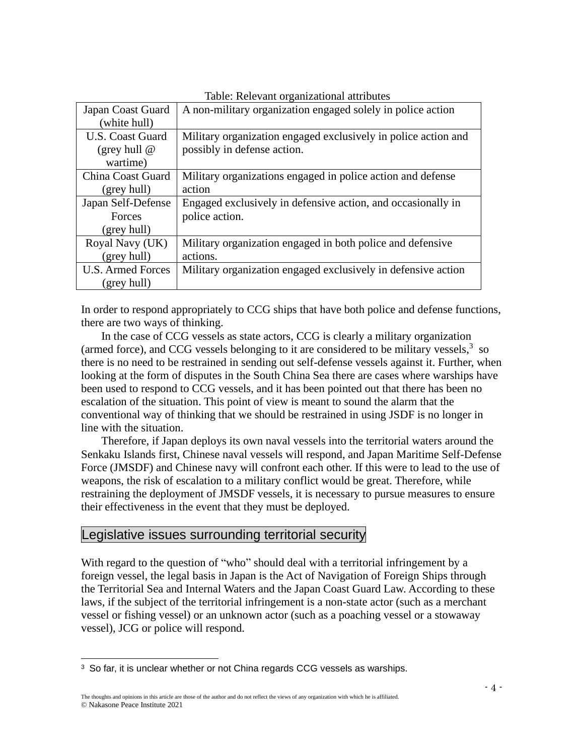| raone: recievant organizational attributes |                                                                |
|--------------------------------------------|----------------------------------------------------------------|
| Japan Coast Guard                          | A non-military organization engaged solely in police action    |
| (white hull)                               |                                                                |
| <b>U.S. Coast Guard</b>                    | Military organization engaged exclusively in police action and |
| (grey hull $@$                             | possibly in defense action.                                    |
| wartime)                                   |                                                                |
| China Coast Guard                          | Military organizations engaged in police action and defense    |
| (grey hull)                                | action                                                         |
| Japan Self-Defense                         | Engaged exclusively in defensive action, and occasionally in   |
| Forces                                     | police action.                                                 |
| (grey hull)                                |                                                                |
| Royal Navy (UK)                            | Military organization engaged in both police and defensive     |
| (grey hull)                                | actions.                                                       |
| <b>U.S. Armed Forces</b>                   | Military organization engaged exclusively in defensive action  |
| (grey hull)                                |                                                                |

Table: Relevant organizational attributes

In order to respond appropriately to CCG ships that have both police and defense functions, there are two ways of thinking.

In the case of CCG vessels as state actors, CCG is clearly a military organization (armed force), and CCG vessels belonging to it are considered to be military vessels, $3$  so there is no need to be restrained in sending out self-defense vessels against it. Further, when looking at the form of disputes in the South China Sea there are cases where warships have been used to respond to CCG vessels, and it has been pointed out that there has been no escalation of the situation. This point of view is meant to sound the alarm that the conventional way of thinking that we should be restrained in using JSDF is no longer in line with the situation.

Therefore, if Japan deploys its own naval vessels into the territorial waters around the Senkaku Islands first, Chinese naval vessels will respond, and Japan Maritime Self-Defense Force (JMSDF) and Chinese navy will confront each other. If this were to lead to the use of weapons, the risk of escalation to a military conflict would be great. Therefore, while restraining the deployment of JMSDF vessels, it is necessary to pursue measures to ensure their effectiveness in the event that they must be deployed.

# Legislative issues surrounding territorial security

With regard to the question of "who" should deal with a territorial infringement by a foreign vessel, the legal basis in Japan is the Act of Navigation of Foreign Ships through the Territorial Sea and Internal Waters and the Japan Coast Guard Law. According to these laws, if the subject of the territorial infringement is a non-state actor (such as a merchant vessel or fishing vessel) or an unknown actor (such as a poaching vessel or a stowaway vessel), JCG or police will respond.

<sup>&</sup>lt;sup>3</sup> So far, it is unclear whether or not China regards CCG vessels as warships.

The thoughts and opinions in this article are those of the author and do not reflect the views of any organization with which he is affiliated. © Nakasone Peace Institute 2021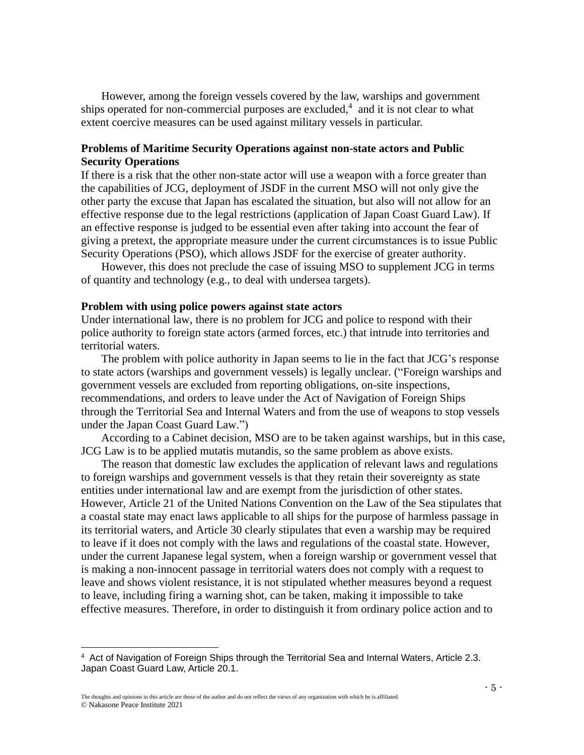However, among the foreign vessels covered by the law, warships and government ships operated for non-commercial purposes are excluded, $4$  and it is not clear to what extent coercive measures can be used against military vessels in particular.

### **Problems of Maritime Security Operations against non-state actors and Public Security Operations**

If there is a risk that the other non-state actor will use a weapon with a force greater than the capabilities of JCG, deployment of JSDF in the current MSO will not only give the other party the excuse that Japan has escalated the situation, but also will not allow for an effective response due to the legal restrictions (application of Japan Coast Guard Law). If an effective response is judged to be essential even after taking into account the fear of giving a pretext, the appropriate measure under the current circumstances is to issue Public Security Operations (PSO), which allows JSDF for the exercise of greater authority.

However, this does not preclude the case of issuing MSO to supplement JCG in terms of quantity and technology (e.g., to deal with undersea targets).

#### **Problem with using police powers against state actors**

Under international law, there is no problem for JCG and police to respond with their police authority to foreign state actors (armed forces, etc.) that intrude into territories and territorial waters.

The problem with police authority in Japan seems to lie in the fact that JCG's response to state actors (warships and government vessels) is legally unclear. ("Foreign warships and government vessels are excluded from reporting obligations, on-site inspections, recommendations, and orders to leave under the Act of Navigation of Foreign Ships through the Territorial Sea and Internal Waters and from the use of weapons to stop vessels under the Japan Coast Guard Law.")

According to a Cabinet decision, MSO are to be taken against warships, but in this case, JCG Law is to be applied mutatis mutandis, so the same problem as above exists.

The reason that domestic law excludes the application of relevant laws and regulations to foreign warships and government vessels is that they retain their sovereignty as state entities under international law and are exempt from the jurisdiction of other states. However, Article 21 of the United Nations Convention on the Law of the Sea stipulates that a coastal state may enact laws applicable to all ships for the purpose of harmless passage in its territorial waters, and Article 30 clearly stipulates that even a warship may be required to leave if it does not comply with the laws and regulations of the coastal state. However, under the current Japanese legal system, when a foreign warship or government vessel that is making a non-innocent passage in territorial waters does not comply with a request to leave and shows violent resistance, it is not stipulated whether measures beyond a request to leave, including firing a warning shot, can be taken, making it impossible to take effective measures. Therefore, in order to distinguish it from ordinary police action and to

<sup>4</sup> Act of Navigation of Foreign Ships through the Territorial Sea and Internal Waters, Article 2.3. Japan Coast Guard Law, Article 20.1.

The thoughts and opinions in this article are those of the author and do not reflect the views of any organization with which he is affiliated. © Nakasone Peace Institute 2021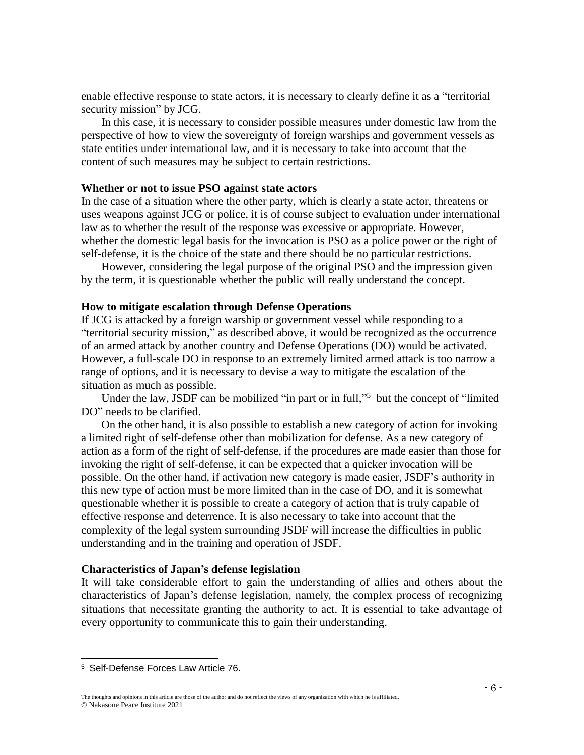enable effective response to state actors, it is necessary to clearly define it as a "territorial security mission" by JCG.

In this case, it is necessary to consider possible measures under domestic law from the perspective of how to view the sovereignty of foreign warships and government vessels as state entities under international law, and it is necessary to take into account that the content of such measures may be subject to certain restrictions.

### **Whether or not to issue PSO against state actors**

In the case of a situation where the other party, which is clearly a state actor, threatens or uses weapons against JCG or police, it is of course subject to evaluation under international law as to whether the result of the response was excessive or appropriate. However, whether the domestic legal basis for the invocation is PSO as a police power or the right of self-defense, it is the choice of the state and there should be no particular restrictions.

However, considering the legal purpose of the original PSO and the impression given by the term, it is questionable whether the public will really understand the concept.

#### **How to mitigate escalation through Defense Operations**

If JCG is attacked by a foreign warship or government vessel while responding to a "territorial security mission," as described above, it would be recognized as the occurrence of an armed attack by another country and Defense Operations (DO) would be activated. However, a full-scale DO in response to an extremely limited armed attack is too narrow a range of options, and it is necessary to devise a way to mitigate the escalation of the situation as much as possible.

Under the law, JSDF can be mobilized "in part or in full,"<sup>5</sup> but the concept of "limited DO" needs to be clarified.

On the other hand, it is also possible to establish a new category of action for invoking a limited right of self-defense other than mobilization for defense. As a new category of action as a form of the right of self-defense, if the procedures are made easier than those for invoking the right of self-defense, it can be expected that a quicker invocation will be possible. On the other hand, if activation new category is made easier, JSDF's authority in this new type of action must be more limited than in the case of DO, and it is somewhat questionable whether it is possible to create a category of action that is truly capable of effective response and deterrence. It is also necessary to take into account that the complexity of the legal system surrounding JSDF will increase the difficulties in public understanding and in the training and operation of JSDF.

#### **Characteristics of Japan's defense legislation**

It will take considerable effort to gain the understanding of allies and others about the characteristics of Japan's defense legislation, namely, the complex process of recognizing situations that necessitate granting the authority to act. It is essential to take advantage of every opportunity to communicate this to gain their understanding.

<sup>5</sup> Self-Defense Forces Law Article 76.

The thoughts and opinions in this article are those of the author and do not reflect the views of any organization with which he is affiliated. © Nakasone Peace Institute 2021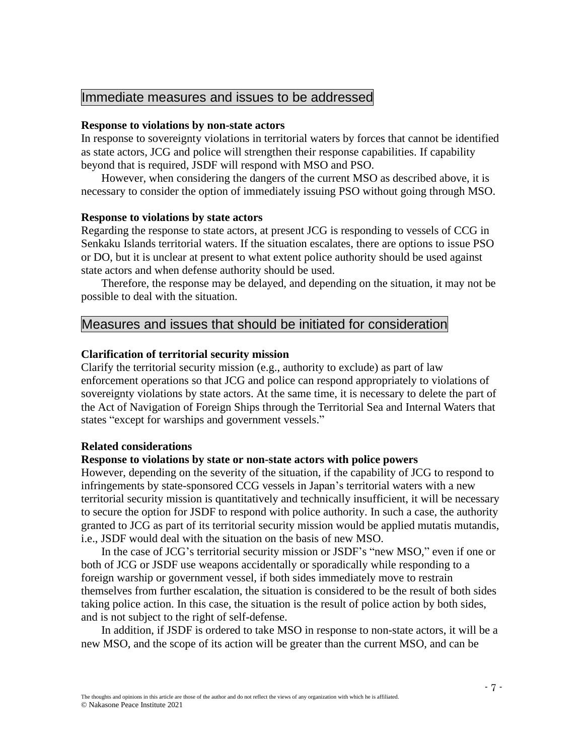# Immediate measures and issues to be addressed

### **Response to violations by non-state actors**

In response to sovereignty violations in territorial waters by forces that cannot be identified as state actors, JCG and police will strengthen their response capabilities. If capability beyond that is required, JSDF will respond with MSO and PSO.

However, when considering the dangers of the current MSO as described above, it is necessary to consider the option of immediately issuing PSO without going through MSO.

### **Response to violations by state actors**

Regarding the response to state actors, at present JCG is responding to vessels of CCG in Senkaku Islands territorial waters. If the situation escalates, there are options to issue PSO or DO, but it is unclear at present to what extent police authority should be used against state actors and when defense authority should be used.

Therefore, the response may be delayed, and depending on the situation, it may not be possible to deal with the situation.

# Measures and issues that should be initiated for consideration

#### **Clarification of territorial security mission**

Clarify the territorial security mission (e.g., authority to exclude) as part of law enforcement operations so that JCG and police can respond appropriately to violations of sovereignty violations by state actors. At the same time, it is necessary to delete the part of the Act of Navigation of Foreign Ships through the Territorial Sea and Internal Waters that states "except for warships and government vessels."

### **Related considerations**

### **Response to violations by state or non-state actors with police powers**

However, depending on the severity of the situation, if the capability of JCG to respond to infringements by state-sponsored CCG vessels in Japan's territorial waters with a new territorial security mission is quantitatively and technically insufficient, it will be necessary to secure the option for JSDF to respond with police authority. In such a case, the authority granted to JCG as part of its territorial security mission would be applied mutatis mutandis, i.e., JSDF would deal with the situation on the basis of new MSO.

In the case of JCG's territorial security mission or JSDF's "new MSO," even if one or both of JCG or JSDF use weapons accidentally or sporadically while responding to a foreign warship or government vessel, if both sides immediately move to restrain themselves from further escalation, the situation is considered to be the result of both sides taking police action. In this case, the situation is the result of police action by both sides, and is not subject to the right of self-defense.

In addition, if JSDF is ordered to take MSO in response to non-state actors, it will be a new MSO, and the scope of its action will be greater than the current MSO, and can be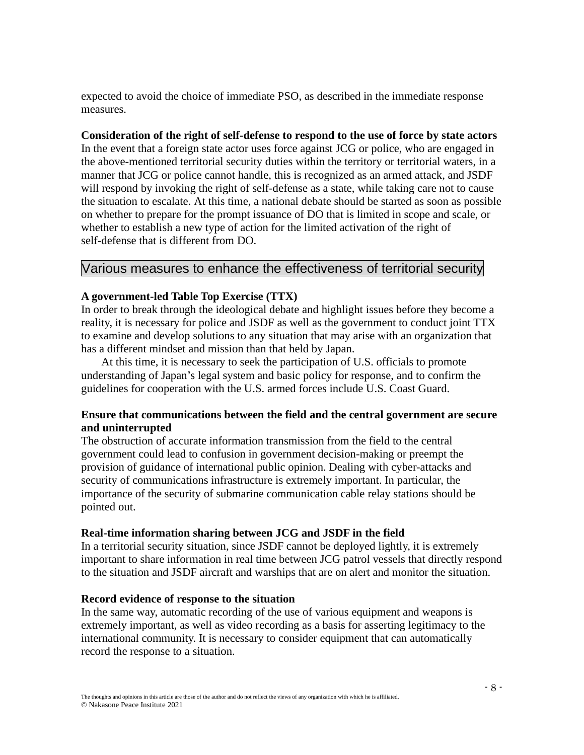expected to avoid the choice of immediate PSO, as described in the immediate response measures.

### **Consideration of the right of self-defense to respond to the use of force by state actors**

In the event that a foreign state actor uses force against JCG or police, who are engaged in the above-mentioned territorial security duties within the territory or territorial waters, in a manner that JCG or police cannot handle, this is recognized as an armed attack, and JSDF will respond by invoking the right of self-defense as a state, while taking care not to cause the situation to escalate. At this time, a national debate should be started as soon as possible on whether to prepare for the prompt issuance of DO that is limited in scope and scale, or whether to establish a new type of action for the limited activation of the right of self-defense that is different from DO.

# Various measures to enhance the effectiveness of territorial security

### **A government-led Table Top Exercise (TTX)**

In order to break through the ideological debate and highlight issues before they become a reality, it is necessary for police and JSDF as well as the government to conduct joint TTX to examine and develop solutions to any situation that may arise with an organization that has a different mindset and mission than that held by Japan.

At this time, it is necessary to seek the participation of U.S. officials to promote understanding of Japan's legal system and basic policy for response, and to confirm the guidelines for cooperation with the U.S. armed forces include U.S. Coast Guard.

### **Ensure that communications between the field and the central government are secure and uninterrupted**

The obstruction of accurate information transmission from the field to the central government could lead to confusion in government decision-making or preempt the provision of guidance of international public opinion. Dealing with cyber-attacks and security of communications infrastructure is extremely important. In particular, the importance of the security of submarine communication cable relay stations should be pointed out.

### **Real-time information sharing between JCG and JSDF in the field**

In a territorial security situation, since JSDF cannot be deployed lightly, it is extremely important to share information in real time between JCG patrol vessels that directly respond to the situation and JSDF aircraft and warships that are on alert and monitor the situation.

### **Record evidence of response to the situation**

In the same way, automatic recording of the use of various equipment and weapons is extremely important, as well as video recording as a basis for asserting legitimacy to the international community. It is necessary to consider equipment that can automatically record the response to a situation.